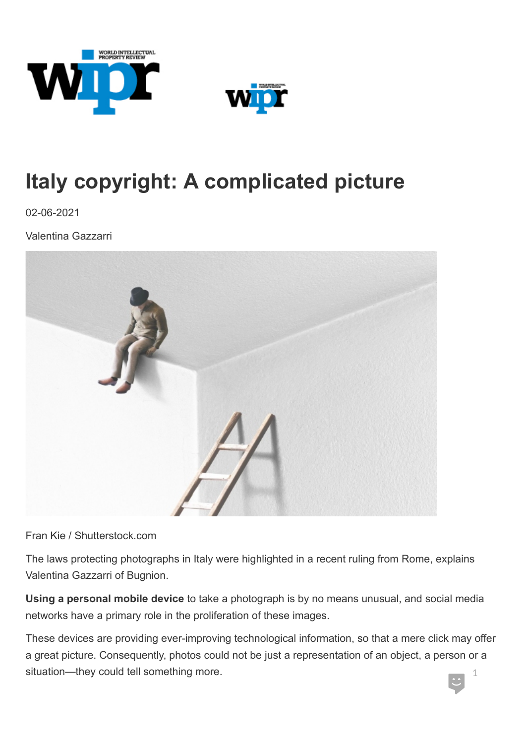



# **Italy copyright: A complicated picture**

02-06-2021

Valentina Gazzarri



Fran Kie / Shutterstock.com

The laws protecting photographs in Italy were highlighted in a recent ruling from Rome, explains Valentina Gazzarri of Bugnion.

**Using a personal mobile device** to take a photograph is by no means unusual, and social media networks have a primary role in the proliferation of these images.

These devices are providing ever-improving technological information, so that a mere click may offer a great picture. Consequently, photos could not be just a representation of an object, a person or a situation—they could tell something more. 1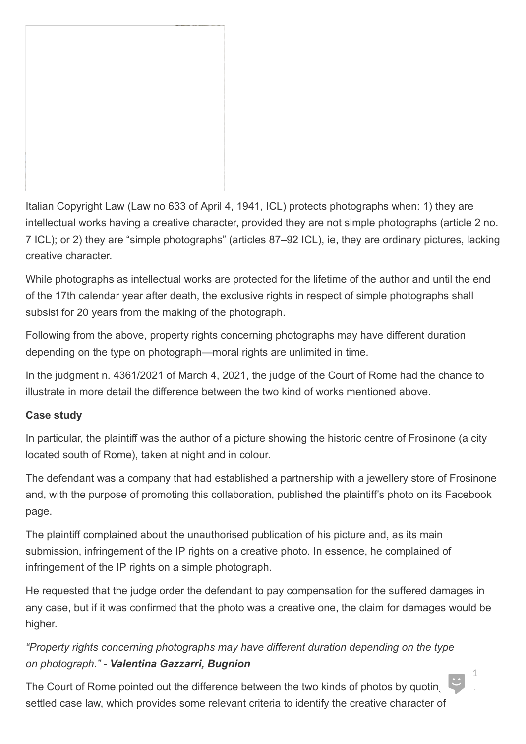Italian Copyright Law (Law no 633 of April 4, 1941, ICL) protects photographs when: 1) they are intellectual works having a creative character, provided they are not simple photographs (article 2 no. 7 ICL); or 2) they are "simple photographs" (articles 87–92 ICL), ie, they are ordinary pictures, lacking creative character.

While photographs as intellectual works are protected for the lifetime of the author and until the end of the 17th calendar year after death, the exclusive rights in respect of simple photographs shall subsist for 20 years from the making of the photograph.

Following from the above, property rights concerning photographs may have different duration depending on the type on photograph—moral rights are unlimited in time.

In the judgment n. 4361/2021 of March 4, 2021, the judge of the Court of Rome had the chance to illustrate in more detail the difference between the two kind of works mentioned above.

### **Case study**

In particular, the plaintiff was the author of a picture showing the historic centre of Frosinone (a city located south of Rome), taken at night and in colour.

The defendant was a company that had established a partnership with a jewellery store of Frosinone and, with the purpose of promoting this collaboration, published the plaintiff's photo on its Facebook page.

The plaintiff complained about the unauthorised publication of his picture and, as its main submission, infringement of the IP rights on a creative photo. In essence, he complained of infringement of the IP rights on a simple photograph.

He requested that the judge order the defendant to pay compensation for the suffered damages in any case, but if it was confirmed that the photo was a creative one, the claim for damages would be higher.

*"Property rights concerning photographs may have different duration depending on the type on photograph." - Valentina Gazzarri, Bugnion*

The Court of Rome pointed out the difference between the two kinds of photos by quoting settled case law, which provides some relevant criteria to identify the creative character of

 $\bigcup_{i=1}^{n}$ 1